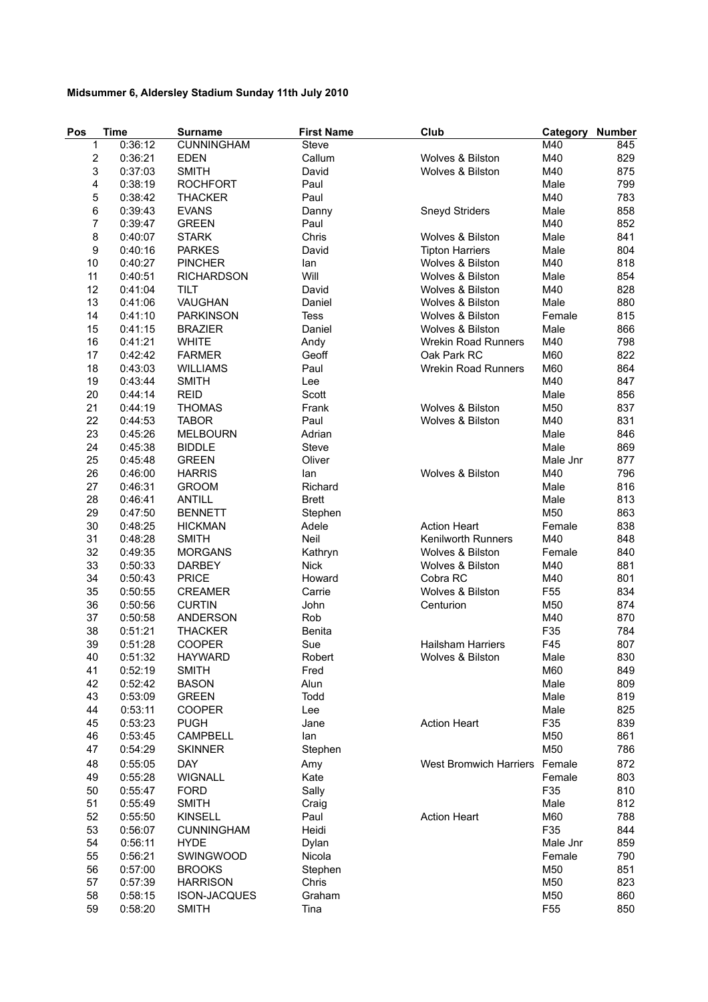## **Midsummer 6, Aldersley Stadium Sunday 11th July 2010**

| Pos            | <b>Time</b> | <b>Surname</b>      | <b>First Name</b> | Club                       | Category        | <b>Number</b> |
|----------------|-------------|---------------------|-------------------|----------------------------|-----------------|---------------|
| 1              | 0:36:12     | <b>CUNNINGHAM</b>   | Steve             |                            | M40             | 845           |
| $\overline{c}$ | 0:36:21     | <b>EDEN</b>         | Callum            | Wolves & Bilston           | M40             | 829           |
| 3              | 0:37:03     | <b>SMITH</b>        | David             | Wolves & Bilston           | M40             | 875           |
| 4              | 0:38:19     | <b>ROCHFORT</b>     | Paul              |                            | Male            | 799           |
| 5              | 0:38:42     | <b>THACKER</b>      | Paul              |                            | M40             | 783           |
| 6              | 0:39:43     | <b>EVANS</b>        | Danny             | Sneyd Striders             | Male            | 858           |
| 7              | 0:39:47     | <b>GREEN</b>        | Paul              |                            | M40             | 852           |
| 8              | 0:40:07     | <b>STARK</b>        | Chris             | Wolves & Bilston           | Male            | 841           |
| 9              | 0:40:16     | <b>PARKES</b>       | David             | <b>Tipton Harriers</b>     | Male            | 804           |
| 10             | 0:40:27     | <b>PINCHER</b>      | lan               | Wolves & Bilston           | M40             | 818           |
| 11             | 0:40:51     | <b>RICHARDSON</b>   | Will              | Wolves & Bilston           | Male            | 854           |
| 12             | 0:41:04     | <b>TILT</b>         | David             | Wolves & Bilston           | M40             | 828           |
| 13             | 0:41:06     | VAUGHAN             | Daniel            | Wolves & Bilston           | Male            | 880           |
| 14             | 0:41:10     | <b>PARKINSON</b>    | <b>Tess</b>       | Wolves & Bilston           | Female          | 815           |
| 15             | 0:41:15     | <b>BRAZIER</b>      | Daniel            | Wolves & Bilston           | Male            | 866           |
| 16             | 0:41:21     | <b>WHITE</b>        | Andy              | <b>Wrekin Road Runners</b> | M40             | 798           |
| 17             | 0:42:42     | <b>FARMER</b>       | Geoff             | Oak Park RC                | M60             | 822           |
| 18             | 0:43:03     | <b>WILLIAMS</b>     |                   | <b>Wrekin Road Runners</b> | M60             | 864           |
|                |             |                     | Paul              |                            |                 |               |
| 19             | 0:43:44     | <b>SMITH</b>        | Lee               |                            | M40             | 847           |
| 20             | 0:44:14     | <b>REID</b>         | Scott             |                            | Male            | 856           |
| 21             | 0:44:19     | <b>THOMAS</b>       | Frank             | Wolves & Bilston           | M50             | 837           |
| 22             | 0:44:53     | <b>TABOR</b>        | Paul              | Wolves & Bilston           | M40             | 831           |
| 23             | 0:45:26     | <b>MELBOURN</b>     | Adrian            |                            | Male            | 846           |
| 24             | 0:45:38     | <b>BIDDLE</b>       | Steve             |                            | Male            | 869           |
| 25             | 0:45:48     | <b>GREEN</b>        | Oliver            |                            | Male Jnr        | 877           |
| 26             | 0:46:00     | <b>HARRIS</b>       | lan               | Wolves & Bilston           | M40             | 796           |
| 27             | 0:46:31     | <b>GROOM</b>        | Richard           |                            | Male            | 816           |
| 28             | 0:46:41     | <b>ANTILL</b>       | <b>Brett</b>      |                            | Male            | 813           |
| 29             | 0:47:50     | <b>BENNETT</b>      | Stephen           |                            | M50             | 863           |
| 30             | 0:48:25     | <b>HICKMAN</b>      | Adele             | <b>Action Heart</b>        | Female          | 838           |
| 31             | 0:48:28     | <b>SMITH</b>        | Neil              | <b>Kenilworth Runners</b>  | M40             | 848           |
| 32             | 0:49:35     | <b>MORGANS</b>      | Kathryn           | Wolves & Bilston           | Female          | 840           |
| 33             | 0:50:33     | <b>DARBEY</b>       | <b>Nick</b>       | Wolves & Bilston           | M40             | 881           |
| 34             | 0:50:43     | <b>PRICE</b>        | Howard            | Cobra RC                   | M40             | 801           |
| 35             | 0:50:55     | <b>CREAMER</b>      | Carrie            | Wolves & Bilston           | F <sub>55</sub> | 834           |
| 36             | 0:50:56     | <b>CURTIN</b>       | John              | Centurion                  | M50             | 874           |
| 37             | 0:50:58     | <b>ANDERSON</b>     | Rob               |                            | M40             | 870           |
| 38             | 0:51:21     | <b>THACKER</b>      | Benita            |                            | F35             | 784           |
| 39             | 0:51:28     | <b>COOPER</b>       | Sue               | <b>Hailsham Harriers</b>   | F45             | 807           |
| 40             | 0:51:32     | <b>HAYWARD</b>      | Robert            | Wolves & Bilston           | Male            | 830           |
| 41             | 0:52:19     | <b>SMITH</b>        | Fred              |                            | M60             | 849           |
| 42             | 0:52:42     | <b>BASON</b>        | Alun              |                            | Male            | 809           |
| 43             | 0:53:09     | <b>GREEN</b>        | Todd              |                            | Male            | 819           |
| 44             | 0:53:11     | <b>COOPER</b>       | Lee               |                            | Male            | 825           |
| 45             | 0:53:23     | <b>PUGH</b>         | Jane              | <b>Action Heart</b>        | F35             | 839           |
| 46             | 0:53:45     | <b>CAMPBELL</b>     | lan               |                            | M50             | 861           |
| 47             | 0:54:29     | <b>SKINNER</b>      | Stephen           |                            | M50             | 786           |
| 48             | 0:55:05     | <b>DAY</b>          | Amy               | West Bromwich Harriers     | Female          | 872           |
| 49             | 0:55:28     | <b>WIGNALL</b>      | Kate              |                            | Female          | 803           |
| 50             | 0:55:47     | <b>FORD</b>         | Sally             |                            | F35             | 810           |
| 51             | 0:55:49     | <b>SMITH</b>        | Craig             |                            | Male            | 812           |
| 52             | 0:55:50     | <b>KINSELL</b>      | Paul              | <b>Action Heart</b>        | M60             | 788           |
| 53             | 0:56:07     | <b>CUNNINGHAM</b>   | Heidi             |                            | F35             | 844           |
| 54             | 0:56:11     | <b>HYDE</b>         | Dylan             |                            | Male Jnr        | 859           |
| 55             | 0:56:21     | <b>SWINGWOOD</b>    | Nicola            |                            | Female          | 790           |
| 56             | 0:57:00     | <b>BROOKS</b>       | Stephen           |                            | M50             | 851           |
| 57             | 0:57:39     | <b>HARRISON</b>     | Chris             |                            | M50             | 823           |
| 58             | 0:58:15     | <b>ISON-JACQUES</b> | Graham            |                            | M50             | 860           |
| 59             | 0:58:20     | <b>SMITH</b>        | Tina              |                            | F <sub>55</sub> | 850           |
|                |             |                     |                   |                            |                 |               |